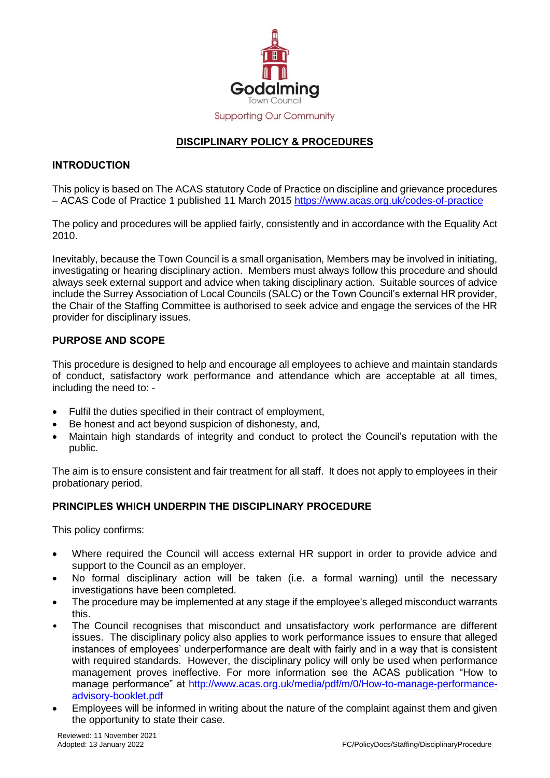

# **DISCIPLINARY POLICY & PROCEDURES**

## **INTRODUCTION**

This policy is based on The ACAS statutory Code of Practice on discipline and grievance procedures – ACAS Code of Practice 1 published 11 March 2015<https://www.acas.org.uk/codes-of-practice>

The policy and procedures will be applied fairly, consistently and in accordance with the Equality Act 2010.

Inevitably, because the Town Council is a small organisation, Members may be involved in initiating, investigating or hearing disciplinary action. Members must always follow this procedure and should always seek external support and advice when taking disciplinary action. Suitable sources of advice include the Surrey Association of Local Councils (SALC) or the Town Council's external HR provider, the Chair of the Staffing Committee is authorised to seek advice and engage the services of the HR provider for disciplinary issues.

## **PURPOSE AND SCOPE**

This procedure is designed to help and encourage all employees to achieve and maintain standards of conduct, satisfactory work performance and attendance which are acceptable at all times, including the need to: -

- Fulfil the duties specified in their contract of employment,
- Be honest and act beyond suspicion of dishonesty, and,
- Maintain high standards of integrity and conduct to protect the Council's reputation with the public.

The aim is to ensure consistent and fair treatment for all staff. It does not apply to employees in their probationary period.

### **PRINCIPLES WHICH UNDERPIN THE DISCIPLINARY PROCEDURE**

This policy confirms:

- Where required the Council will access external HR support in order to provide advice and support to the Council as an employer.
- No formal disciplinary action will be taken (i.e. a formal warning) until the necessary investigations have been completed.
- The procedure may be implemented at any stage if the employee's alleged misconduct warrants this.
- The Council recognises that misconduct and unsatisfactory work performance are different issues. The disciplinary policy also applies to work performance issues to ensure that alleged instances of employees' underperformance are dealt with fairly and in a way that is consistent with required standards. However, the disciplinary policy will only be used when performance management proves ineffective. For more information see the ACAS publication "How to manage performance" at [http://www.acas.org.uk/media/pdf/m/0/How-to-manage-performance](http://www.acas.org.uk/media/pdf/m/0/How-to-manage-performance-advisory-booklet.pdf)[advisory-booklet.pdf](http://www.acas.org.uk/media/pdf/m/0/How-to-manage-performance-advisory-booklet.pdf)
- Employees will be informed in writing about the nature of the complaint against them and given the opportunity to state their case.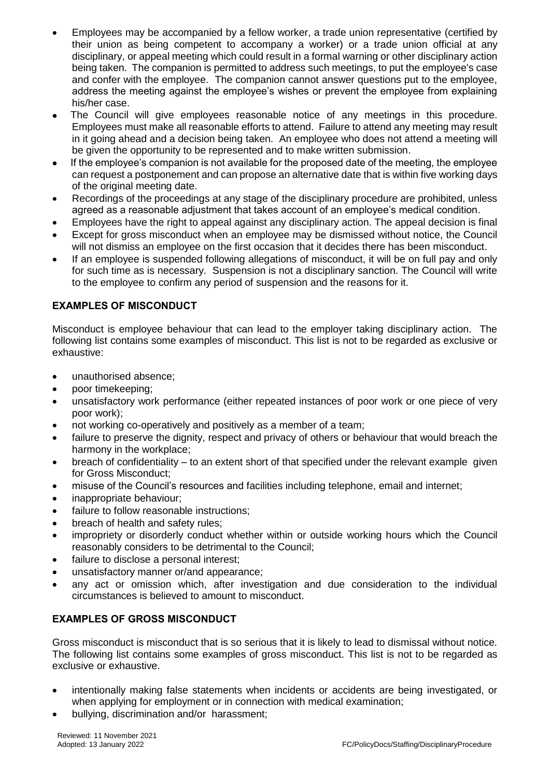- Employees may be accompanied by a fellow worker, a trade union representative (certified by their union as being competent to accompany a worker) or a trade union official at any disciplinary, or appeal meeting which could result in a formal warning or other disciplinary action being taken. The companion is permitted to address such meetings, to put the employee's case and confer with the employee. The companion cannot answer questions put to the employee, address the meeting against the employee's wishes or prevent the employee from explaining his/her case.
- The Council will give employees reasonable notice of any meetings in this procedure. Employees must make all reasonable efforts to attend. Failure to attend any meeting may result in it going ahead and a decision being taken. An employee who does not attend a meeting will be given the opportunity to be represented and to make written submission.
- If the employee's companion is not available for the proposed date of the meeting, the employee can request a postponement and can propose an alternative date that is within five working days of the original meeting date.
- Recordings of the proceedings at any stage of the disciplinary procedure are prohibited, unless agreed as a reasonable adjustment that takes account of an employee's medical condition.
- Employees have the right to appeal against any disciplinary action. The appeal decision is final
- Except for gross misconduct when an employee may be dismissed without notice, the Council will not dismiss an employee on the first occasion that it decides there has been misconduct.
- If an employee is suspended following allegations of misconduct, it will be on full pay and only for such time as is necessary. Suspension is not a disciplinary sanction. The Council will write to the employee to confirm any period of suspension and the reasons for it.

# **EXAMPLES OF MISCONDUCT**

Misconduct is employee behaviour that can lead to the employer taking disciplinary action. The following list contains some examples of misconduct. This list is not to be regarded as exclusive or exhaustive:

- unauthorised absence;
- poor timekeeping;
- unsatisfactory work performance (either repeated instances of poor work or one piece of very poor work);
- not working co-operatively and positively as a member of a team;
- failure to preserve the dignity, respect and privacy of others or behaviour that would breach the harmony in the workplace;
- breach of confidentiality to an extent short of that specified under the relevant example given for Gross Misconduct;
- misuse of the Council's resources and facilities including telephone, email and internet;
- inappropriate behaviour;
- failure to follow reasonable instructions;
- breach of health and safety rules;
- impropriety or disorderly conduct whether within or outside working hours which the Council reasonably considers to be detrimental to the Council;
- failure to disclose a personal interest;
- unsatisfactory manner or/and appearance;
- any act or omission which, after investigation and due consideration to the individual circumstances is believed to amount to misconduct.

# **EXAMPLES OF GROSS MISCONDUCT**

Gross misconduct is misconduct that is so serious that it is likely to lead to dismissal without notice. The following list contains some examples of gross misconduct. This list is not to be regarded as exclusive or exhaustive.

- intentionally making false statements when incidents or accidents are being investigated, or when applying for employment or in connection with medical examination;
- bullying, discrimination and/or harassment;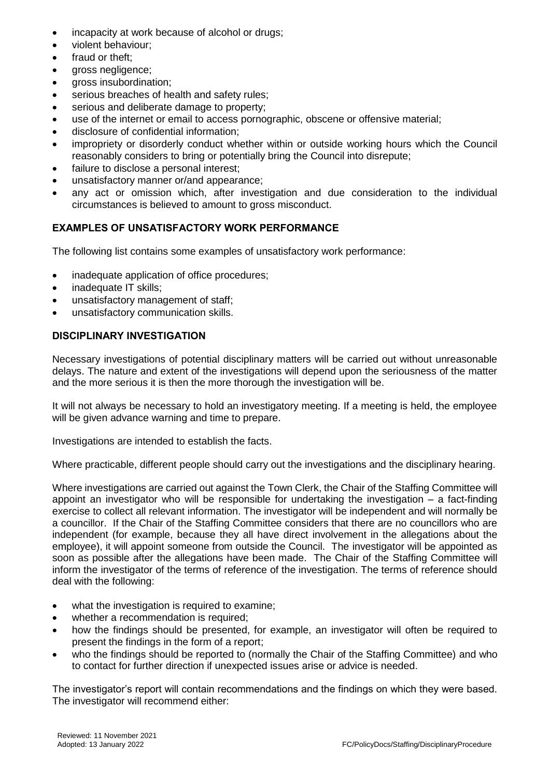- incapacity at work because of alcohol or drugs;
- violent behaviour:
- fraud or theft:
- gross negligence;
- gross insubordination;
- serious breaches of health and safety rules;
- **serious and deliberate damage to property;**
- use of the internet or email to access pornographic, obscene or offensive material;
- disclosure of confidential information;
- impropriety or disorderly conduct whether within or outside working hours which the Council reasonably considers to bring or potentially bring the Council into disrepute;
- failure to disclose a personal interest;
- unsatisfactory manner or/and appearance;
- any act or omission which, after investigation and due consideration to the individual circumstances is believed to amount to gross misconduct.

# **EXAMPLES OF UNSATISFACTORY WORK PERFORMANCE**

The following list contains some examples of unsatisfactory work performance:

- inadequate application of office procedures;
- inadequate IT skills;
- unsatisfactory management of staff;
- unsatisfactory communication skills.

# **DISCIPLINARY INVESTIGATION**

Necessary investigations of potential disciplinary matters will be carried out without unreasonable delays. The nature and extent of the investigations will depend upon the seriousness of the matter and the more serious it is then the more thorough the investigation will be.

It will not always be necessary to hold an investigatory meeting. If a meeting is held, the employee will be given advance warning and time to prepare.

Investigations are intended to establish the facts.

Where practicable, different people should carry out the investigations and the disciplinary hearing.

Where investigations are carried out against the Town Clerk, the Chair of the Staffing Committee will appoint an investigator who will be responsible for undertaking the investigation – a fact-finding exercise to collect all relevant information. The investigator will be independent and will normally be a councillor. If the Chair of the Staffing Committee considers that there are no councillors who are independent (for example, because they all have direct involvement in the allegations about the employee), it will appoint someone from outside the Council. The investigator will be appointed as soon as possible after the allegations have been made. The Chair of the Staffing Committee will inform the investigator of the terms of reference of the investigation. The terms of reference should deal with the following:

- what the investigation is required to examine;
- whether a recommendation is required;
- how the findings should be presented, for example, an investigator will often be required to present the findings in the form of a report;
- who the findings should be reported to (normally the Chair of the Staffing Committee) and who to contact for further direction if unexpected issues arise or advice is needed.

The investigator's report will contain recommendations and the findings on which they were based. The investigator will recommend either: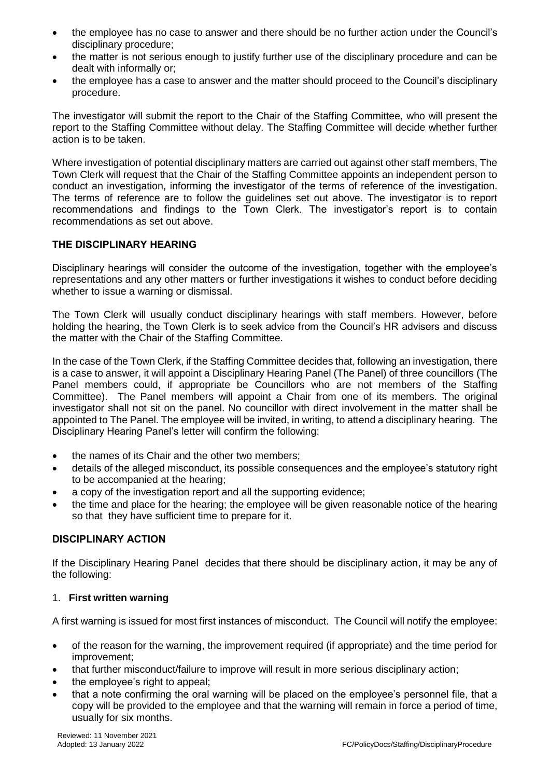- the employee has no case to answer and there should be no further action under the Council's disciplinary procedure;
- the matter is not serious enough to justify further use of the disciplinary procedure and can be dealt with informally or;
- the employee has a case to answer and the matter should proceed to the Council's disciplinary procedure.

The investigator will submit the report to the Chair of the Staffing Committee, who will present the report to the Staffing Committee without delay. The Staffing Committee will decide whether further action is to be taken.

Where investigation of potential disciplinary matters are carried out against other staff members, The Town Clerk will request that the Chair of the Staffing Committee appoints an independent person to conduct an investigation, informing the investigator of the terms of reference of the investigation. The terms of reference are to follow the guidelines set out above. The investigator is to report recommendations and findings to the Town Clerk. The investigator's report is to contain recommendations as set out above.

## **THE DISCIPLINARY HEARING**

Disciplinary hearings will consider the outcome of the investigation, together with the employee's representations and any other matters or further investigations it wishes to conduct before deciding whether to issue a warning or dismissal.

The Town Clerk will usually conduct disciplinary hearings with staff members. However, before holding the hearing, the Town Clerk is to seek advice from the Council's HR advisers and discuss the matter with the Chair of the Staffing Committee.

In the case of the Town Clerk, if the Staffing Committee decides that, following an investigation, there is a case to answer, it will appoint a Disciplinary Hearing Panel (The Panel) of three councillors (The Panel members could, if appropriate be Councillors who are not members of the Staffing Committee). The Panel members will appoint a Chair from one of its members. The original investigator shall not sit on the panel. No councillor with direct involvement in the matter shall be appointed to The Panel. The employee will be invited, in writing, to attend a disciplinary hearing. The Disciplinary Hearing Panel's letter will confirm the following:

- the names of its Chair and the other two members;
- details of the alleged misconduct, its possible consequences and the employee's statutory right to be accompanied at the hearing;
- a copy of the investigation report and all the supporting evidence;
- the time and place for the hearing; the employee will be given reasonable notice of the hearing so that they have sufficient time to prepare for it.

### **DISCIPLINARY ACTION**

If the Disciplinary Hearing Panel decides that there should be disciplinary action, it may be any of the following:

### 1. **First written warning**

A first warning is issued for most first instances of misconduct. The Council will notify the employee:

- of the reason for the warning, the improvement required (if appropriate) and the time period for improvement;
- that further misconduct/failure to improve will result in more serious disciplinary action;
- the employee's right to appeal;
- that a note confirming the oral warning will be placed on the employee's personnel file, that a copy will be provided to the employee and that the warning will remain in force a period of time, usually for six months.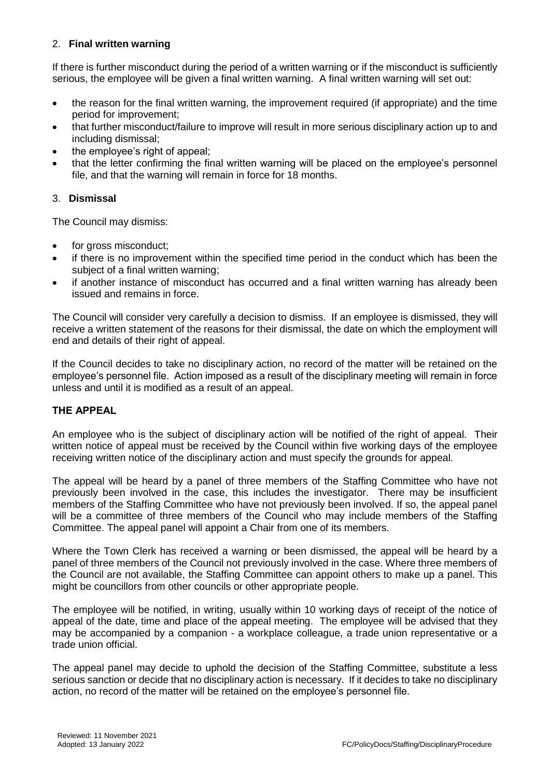# 2. **Final written warning**

If there is further misconduct during the period of a written warning or if the misconduct is sufficiently serious, the employee will be given a final written warning. A final written warning will set out:

- the reason for the final written warning, the improvement required (if appropriate) and the time period for improvement;
- that further misconduct/failure to improve will result in more serious disciplinary action up to and including dismissal;
- the employee's right of appeal;
- that the letter confirming the final written warning will be placed on the employee's personnel file, and that the warning will remain in force for 18 months.

### 3. **Dismissal**

The Council may dismiss:

- for gross misconduct;
- if there is no improvement within the specified time period in the conduct which has been the subject of a final written warning;
- if another instance of misconduct has occurred and a final written warning has already been issued and remains in force.

The Council will consider very carefully a decision to dismiss. If an employee is dismissed, they will receive a written statement of the reasons for their dismissal, the date on which the employment will end and details of their right of appeal.

If the Council decides to take no disciplinary action, no record of the matter will be retained on the employee's personnel file. Action imposed as a result of the disciplinary meeting will remain in force unless and until it is modified as a result of an appeal.

### **THE APPEAL**

An employee who is the subject of disciplinary action will be notified of the right of appeal. Their written notice of appeal must be received by the Council within five working days of the employee receiving written notice of the disciplinary action and must specify the grounds for appeal.

The appeal will be heard by a panel of three members of the Staffing Committee who have not previously been involved in the case, this includes the investigator. There may be insufficient members of the Staffing Committee who have not previously been involved. If so, the appeal panel will be a committee of three members of the Council who may include members of the Staffing Committee. The appeal panel will appoint a Chair from one of its members.

Where the Town Clerk has received a warning or been dismissed, the appeal will be heard by a panel of three members of the Council not previously involved in the case. Where three members of the Council are not available, the Staffing Committee can appoint others to make up a panel. This might be councillors from other councils or other appropriate people.

The employee will be notified, in writing, usually within 10 working days of receipt of the notice of appeal of the date, time and place of the appeal meeting. The employee will be advised that they may be accompanied by a companion - a workplace colleague, a trade union representative or a trade union official.

The appeal panel may decide to uphold the decision of the Staffing Committee, substitute a less serious sanction or decide that no disciplinary action is necessary. If it decides to take no disciplinary action, no record of the matter will be retained on the employee's personnel file.